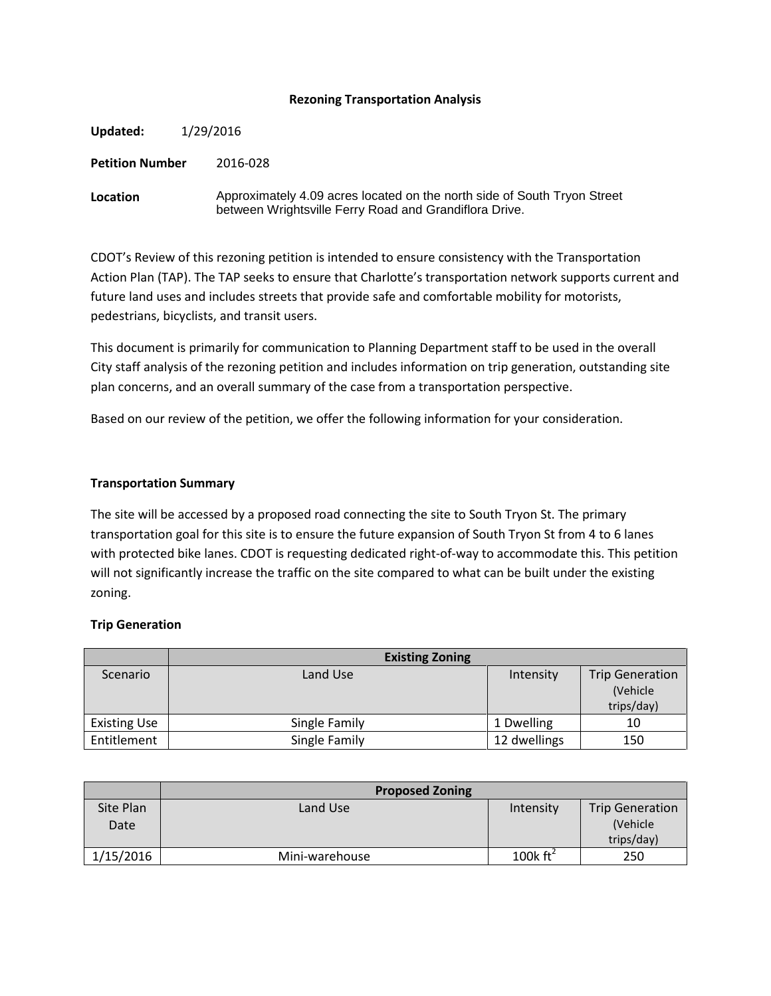# **Rezoning Transportation Analysis**

| Updated:               | 1/29/2016 |                                                                                                                                    |
|------------------------|-----------|------------------------------------------------------------------------------------------------------------------------------------|
| <b>Petition Number</b> |           | 2016-028                                                                                                                           |
| Location               |           | Approximately 4.09 acres located on the north side of South Tryon Street<br>between Wrightsville Ferry Road and Grandiflora Drive. |

CDOT's Review of this rezoning petition is intended to ensure consistency with the Transportation Action Plan (TAP). The TAP seeks to ensure that Charlotte's transportation network supports current and future land uses and includes streets that provide safe and comfortable mobility for motorists, pedestrians, bicyclists, and transit users.

This document is primarily for communication to Planning Department staff to be used in the overall City staff analysis of the rezoning petition and includes information on trip generation, outstanding site plan concerns, and an overall summary of the case from a transportation perspective.

Based on our review of the petition, we offer the following information for your consideration.

## **Transportation Summary**

The site will be accessed by a proposed road connecting the site to South Tryon St. The primary transportation goal for this site is to ensure the future expansion of South Tryon St from 4 to 6 lanes with protected bike lanes. CDOT is requesting dedicated right-of-way to accommodate this. This petition will not significantly increase the traffic on the site compared to what can be built under the existing zoning.

#### **Trip Generation**

|                     | <b>Existing Zoning</b> |              |                        |
|---------------------|------------------------|--------------|------------------------|
| Scenario            | Land Use               | Intensity    | <b>Trip Generation</b> |
|                     |                        |              | (Vehicle               |
|                     |                        |              | trips/day)             |
| <b>Existing Use</b> | Single Family          | 1 Dwelling   | 10                     |
| Entitlement         | Single Family          | 12 dwellings | 150                    |

|                   | <b>Proposed Zoning</b> |                      |                                                  |
|-------------------|------------------------|----------------------|--------------------------------------------------|
| Site Plan<br>Date | Land Use               | Intensity            | <b>Trip Generation</b><br>(Vehicle<br>trips/day) |
| 1/15/2016         | Mini-warehouse         | 100 $k \text{ ft}^2$ | 250                                              |